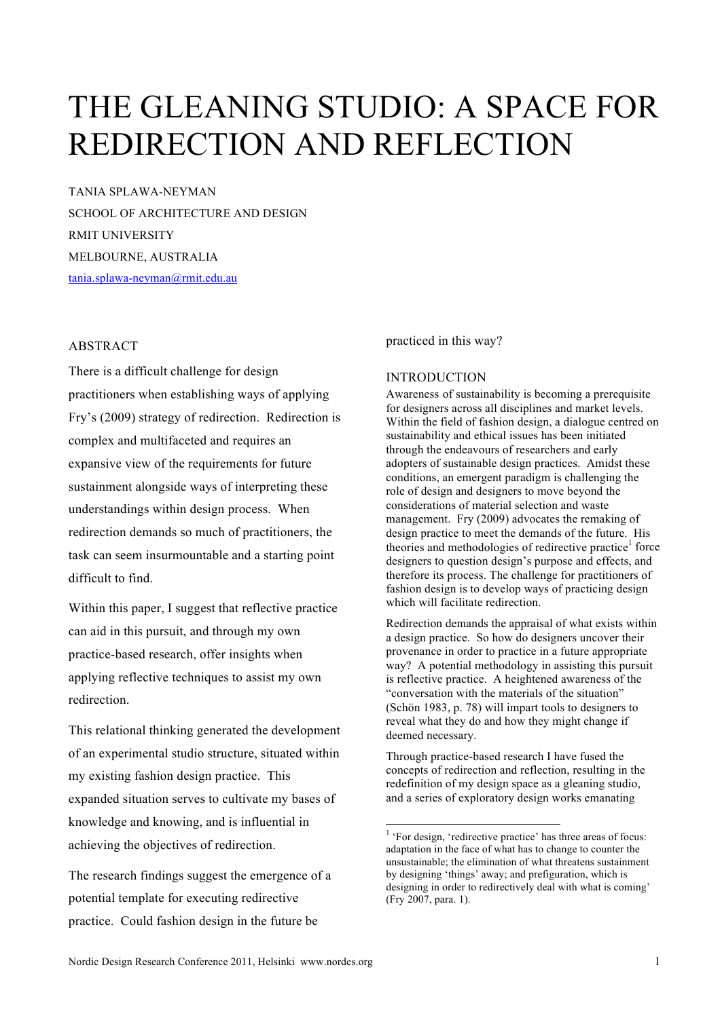# THE GLEANING STUDIO: A SPACE FOR REDIRECTION AND REFLECTION

TANIA SPLAWA-NEYMAN SCHOOL OF ARCHITECTURE AND DESIGN RMIT UNIVERSITY MELBOURNE, AUSTRALIA tania.splawa-neyman@rmit.edu.au

### ABSTRACT

There is a difficult challenge for design practitioners when establishing ways of applying Fry's (2009) strategy of redirection. Redirection is complex and multifaceted and requires an expansive view of the requirements for future sustainment alongside ways of interpreting these understandings within design process. When redirection demands so much of practitioners, the task can seem insurmountable and a starting point difficult to find.

Within this paper, I suggest that reflective practice can aid in this pursuit, and through my own practice-based research, offer insights when applying reflective techniques to assist my own redirection.

This relational thinking generated the development of an experimental studio structure, situated within my existing fashion design practice. This expanded situation serves to cultivate my bases of knowledge and knowing, and is influential in achieving the objectives of redirection.

The research findings suggest the emergence of a potential template for executing redirective practice. Could fashion design in the future be

practiced in this way?

## **INTRODUCTION**

Awareness of sustainability is becoming a prerequisite for designers across all disciplines and market levels. Within the field of fashion design, a dialogue centred on sustainability and ethical issues has been initiated through the endeavours of researchers and early adopters of sustainable design practices. Amidst these conditions, an emergent paradigm is challenging the role of design and designers to move beyond the considerations of material selection and waste management. Fry (2009) advocates the remaking of design practice to meet the demands of the future. His theories and methodologies of redirective practice<sup>1</sup> force designers to question design's purpose and effects, and therefore its process. The challenge for practitioners of fashion design is to develop ways of practicing design which will facilitate redirection.

Redirection demands the appraisal of what exists within a design practice. So how do designers uncover their provenance in order to practice in a future appropriate way? A potential methodology in assisting this pursuit is reflective practice. A heightened awareness of the "conversation with the materials of the situation" (Schön 1983, p. 78) will impart tools to designers to reveal what they do and how they might change if deemed necessary.

Through practice-based research I have fused the concepts of redirection and reflection, resulting in the redefinition of my design space as a gleaning studio, and a series of exploratory design works emanating

 <sup>1</sup> <sup>1</sup> 'For design, 'redirective practice' has three areas of focus: adaptation in the face of what has to change to counter the unsustainable; the elimination of what threatens sustainment by designing 'things' away; and prefiguration, which is designing in order to redirectively deal with what is coming' (Fry 2007, para. 1).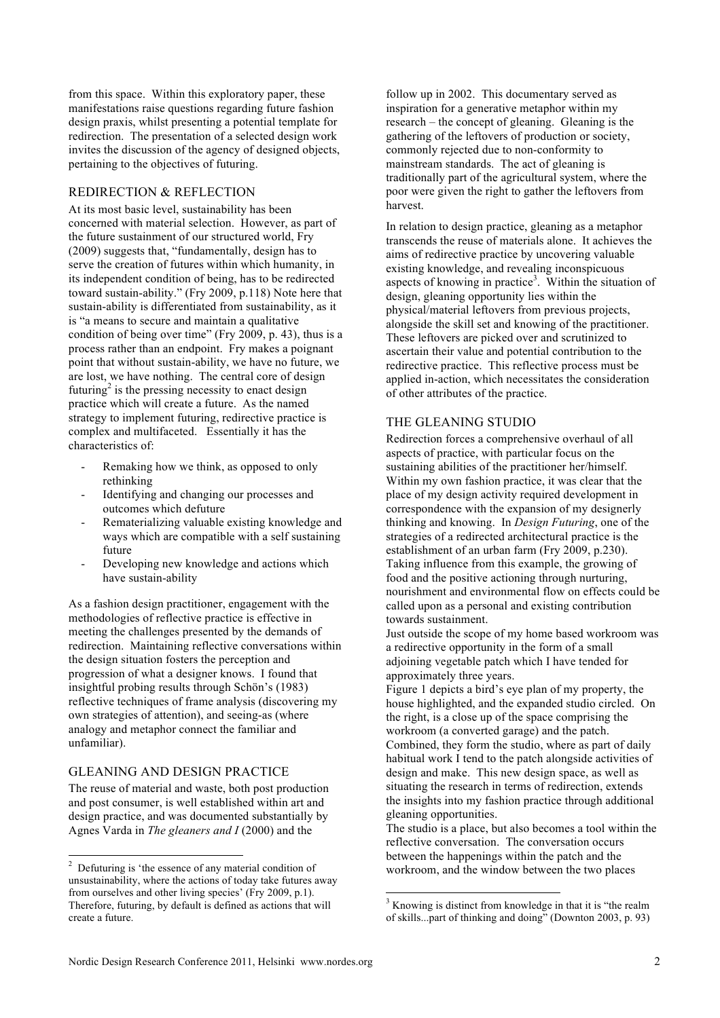from this space. Within this exploratory paper, these manifestations raise questions regarding future fashion design praxis, whilst presenting a potential template for redirection. The presentation of a selected design work invites the discussion of the agency of designed objects, pertaining to the objectives of futuring.

## REDIRECTION & REFLECTION

At its most basic level, sustainability has been concerned with material selection. However, as part of the future sustainment of our structured world, Fry (2009) suggests that, "fundamentally, design has to serve the creation of futures within which humanity, in its independent condition of being, has to be redirected toward sustain-ability." (Fry 2009, p.118) Note here that sustain-ability is differentiated from sustainability, as it is "a means to secure and maintain a qualitative condition of being over time" (Fry 2009, p. 43), thus is a process rather than an endpoint. Fry makes a poignant point that without sustain-ability, we have no future, we are lost, we have nothing. The central core of design futuring<sup>2</sup> is the pressing necessity to enact design practice which will create a future. As the named strategy to implement futuring, redirective practice is complex and multifaceted. Essentially it has the characteristics of:

- Remaking how we think, as opposed to only rethinking
- Identifying and changing our processes and outcomes which defuture
- Rematerializing valuable existing knowledge and ways which are compatible with a self sustaining future
- Developing new knowledge and actions which have sustain-ability

As a fashion design practitioner, engagement with the methodologies of reflective practice is effective in meeting the challenges presented by the demands of redirection. Maintaining reflective conversations within the design situation fosters the perception and progression of what a designer knows. I found that insightful probing results through Schön's (1983) reflective techniques of frame analysis (discovering my own strategies of attention), and seeing-as (where analogy and metaphor connect the familiar and unfamiliar).

## GLEANING AND DESIGN PRACTICE

The reuse of material and waste, both post production and post consumer, is well established within art and design practice, and was documented substantially by Agnes Varda in *The gleaners and I* (2000) and the

follow up in 2002. This documentary served as inspiration for a generative metaphor within my research – the concept of gleaning. Gleaning is the gathering of the leftovers of production or society, commonly rejected due to non-conformity to mainstream standards. The act of gleaning is traditionally part of the agricultural system, where the poor were given the right to gather the leftovers from harvest.

In relation to design practice, gleaning as a metaphor transcends the reuse of materials alone. It achieves the aims of redirective practice by uncovering valuable existing knowledge, and revealing inconspicuous aspects of knowing in practice<sup>3</sup>. Within the situation of design, gleaning opportunity lies within the physical/material leftovers from previous projects, alongside the skill set and knowing of the practitioner. These leftovers are picked over and scrutinized to ascertain their value and potential contribution to the redirective practice. This reflective process must be applied in-action, which necessitates the consideration of other attributes of the practice.

#### THE GLEANING STUDIO

Redirection forces a comprehensive overhaul of all aspects of practice, with particular focus on the sustaining abilities of the practitioner her/himself. Within my own fashion practice, it was clear that the place of my design activity required development in correspondence with the expansion of my designerly thinking and knowing. In *Design Futuring*, one of the strategies of a redirected architectural practice is the establishment of an urban farm (Fry 2009, p.230). Taking influence from this example, the growing of food and the positive actioning through nurturing, nourishment and environmental flow on effects could be called upon as a personal and existing contribution towards sustainment.

Just outside the scope of my home based workroom was a redirective opportunity in the form of a small adjoining vegetable patch which I have tended for approximately three years.

Figure 1 depicts a bird's eye plan of my property, the house highlighted, and the expanded studio circled. On the right, is a close up of the space comprising the workroom (a converted garage) and the patch. Combined, they form the studio, where as part of daily habitual work I tend to the patch alongside activities of design and make. This new design space, as well as situating the research in terms of redirection, extends the insights into my fashion practice through additional gleaning opportunities.

The studio is a place, but also becomes a tool within the reflective conversation. The conversation occurs between the happenings within the patch and the workroom, and the window between the two places

<sup>&</sup>lt;sup>2</sup>  $2\degree$  Defuturing is 'the essence of any material condition of unsustainability, where the actions of today take futures away from ourselves and other living species' (Fry 2009, p.1). Therefore, futuring, by default is defined as actions that will create a future.

<sup>&</sup>lt;sup>3</sup> Knowing is distinct from knowledge in that it is "the realm" of skills...part of thinking and doing" (Downton 2003, p. 93)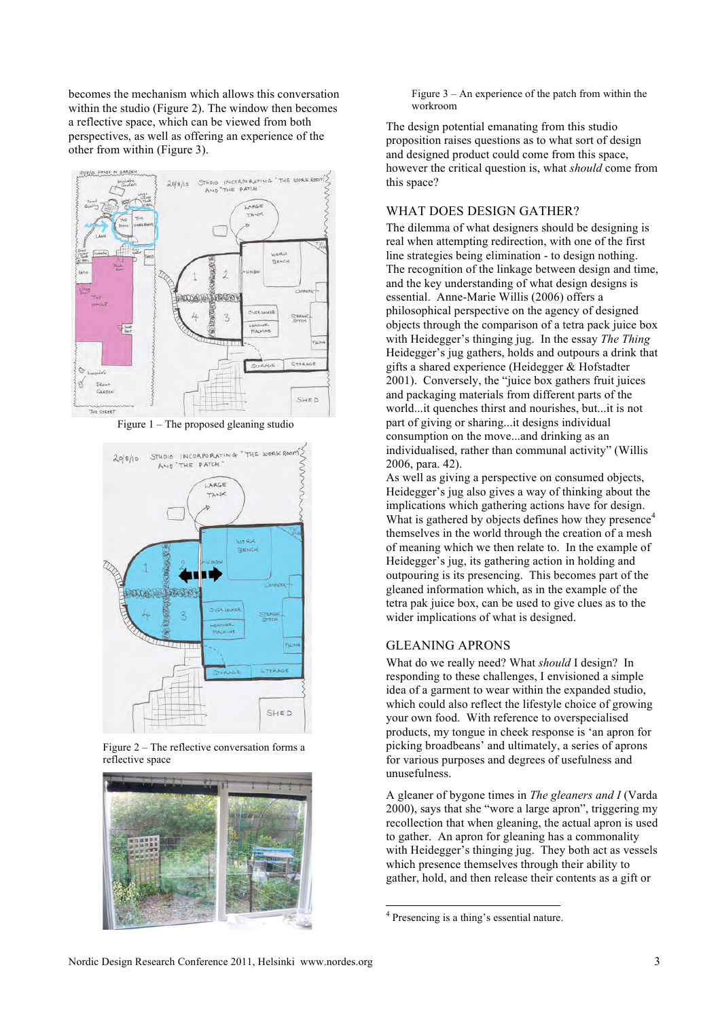becomes the mechanism which allows this conversation within the studio (Figure 2). The window then becomes a reflective space, which can be viewed from both perspectives, as well as offering an experience of the other from within (Figure 3).



Figure 1 – The proposed gleaning studio



Figure 2 – The reflective conversation forms a reflective space



Figure  $3 - An$  experience of the patch from within the workroom

The design potential emanating from this studio proposition raises questions as to what sort of design and designed product could come from this space, however the critical question is, what *should* come from this space?

#### WHAT DOES DESIGN GATHER?

The dilemma of what designers should be designing is real when attempting redirection, with one of the first line strategies being elimination - to design nothing. The recognition of the linkage between design and time, and the key understanding of what design designs is essential. Anne-Marie Willis (2006) offers a philosophical perspective on the agency of designed objects through the comparison of a tetra pack juice box with Heidegger's thinging jug. In the essay *The Thing* Heidegger's jug gathers, holds and outpours a drink that gifts a shared experience (Heidegger & Hofstadter 2001). Conversely, the "juice box gathers fruit juices and packaging materials from different parts of the world...it quenches thirst and nourishes, but...it is not part of giving or sharing...it designs individual consumption on the move...and drinking as an individualised, rather than communal activity" (Willis 2006, para. 42).

As well as giving a perspective on consumed objects, Heidegger's jug also gives a way of thinking about the implications which gathering actions have for design. What is gathered by objects defines how they presence<sup>4</sup> themselves in the world through the creation of a mesh of meaning which we then relate to. In the example of Heidegger's jug, its gathering action in holding and outpouring is its presencing. This becomes part of the gleaned information which, as in the example of the tetra pak juice box, can be used to give clues as to the wider implications of what is designed.

## GLEANING APRONS

What do we really need? What *should* I design? In responding to these challenges, I envisioned a simple idea of a garment to wear within the expanded studio, which could also reflect the lifestyle choice of growing your own food. With reference to overspecialised products, my tongue in cheek response is 'an apron for picking broadbeans' and ultimately, a series of aprons for various purposes and degrees of usefulness and unusefulness.

A gleaner of bygone times in *The gleaners and I* (Varda 2000), says that she "wore a large apron", triggering my recollection that when gleaning, the actual apron is used to gather. An apron for gleaning has a commonality with Heidegger's thinging jug. They both act as vessels which presence themselves through their ability to gather, hold, and then release their contents as a gift or

 $\frac{1}{4}$ <sup>4</sup> Presencing is a thing's essential nature.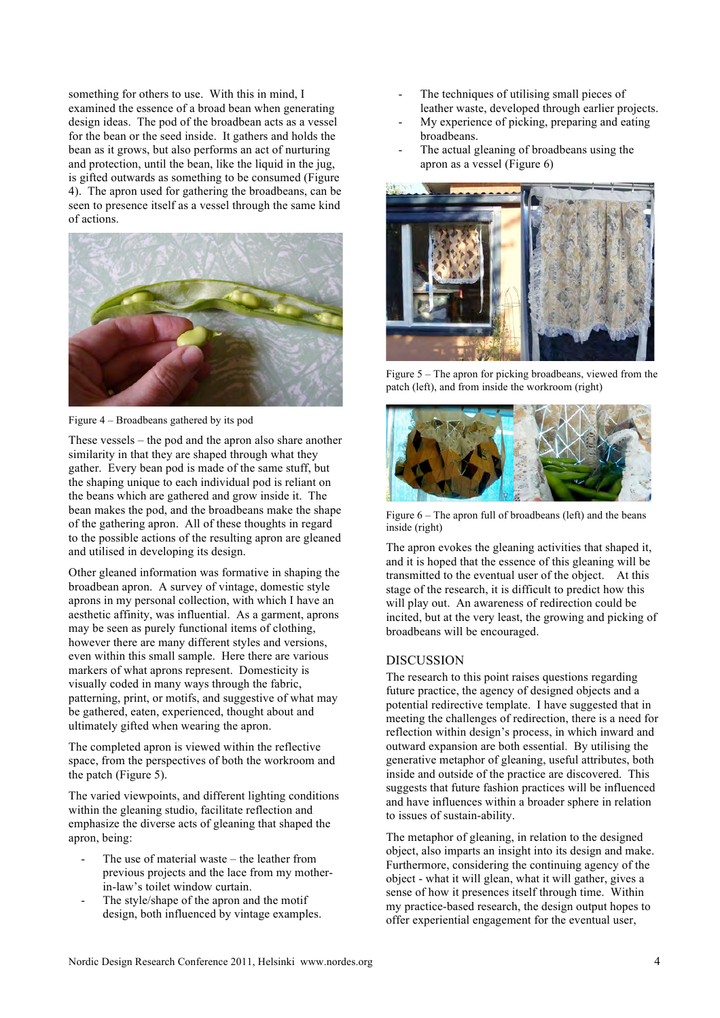something for others to use. With this in mind, I examined the essence of a broad bean when generating design ideas. The pod of the broadbean acts as a vessel for the bean or the seed inside. It gathers and holds the bean as it grows, but also performs an act of nurturing and protection, until the bean, like the liquid in the jug, is gifted outwards as something to be consumed (Figure 4). The apron used for gathering the broadbeans, can be seen to presence itself as a vessel through the same kind of actions.



Figure 4 – Broadbeans gathered by its pod

These vessels – the pod and the apron also share another similarity in that they are shaped through what they gather. Every bean pod is made of the same stuff, but the shaping unique to each individual pod is reliant on the beans which are gathered and grow inside it. The bean makes the pod, and the broadbeans make the shape of the gathering apron. All of these thoughts in regard to the possible actions of the resulting apron are gleaned and utilised in developing its design.

Other gleaned information was formative in shaping the broadbean apron. A survey of vintage, domestic style aprons in my personal collection, with which I have an aesthetic affinity, was influential. As a garment, aprons may be seen as purely functional items of clothing, however there are many different styles and versions, even within this small sample. Here there are various markers of what aprons represent. Domesticity is visually coded in many ways through the fabric, patterning, print, or motifs, and suggestive of what may be gathered, eaten, experienced, thought about and ultimately gifted when wearing the apron.

The completed apron is viewed within the reflective space, from the perspectives of both the workroom and the patch (Figure 5).

The varied viewpoints, and different lighting conditions within the gleaning studio, facilitate reflection and emphasize the diverse acts of gleaning that shaped the apron, being:

- The use of material waste the leather from previous projects and the lace from my motherin-law's toilet window curtain.
- The style/shape of the apron and the motif design, both influenced by vintage examples.
- The techniques of utilising small pieces of leather waste, developed through earlier projects.
- My experience of picking, preparing and eating broadbeans.
- The actual gleaning of broadbeans using the apron as a vessel (Figure 6)



Figure 5 – The apron for picking broadbeans, viewed from the patch (left), and from inside the workroom (right)



Figure 6 – The apron full of broadbeans (left) and the beans inside (right)

The apron evokes the gleaning activities that shaped it, and it is hoped that the essence of this gleaning will be transmitted to the eventual user of the object. At this stage of the research, it is difficult to predict how this will play out. An awareness of redirection could be incited, but at the very least, the growing and picking of broadbeans will be encouraged.

#### DISCUSSION

The research to this point raises questions regarding future practice, the agency of designed objects and a potential redirective template. I have suggested that in meeting the challenges of redirection, there is a need for reflection within design's process, in which inward and outward expansion are both essential. By utilising the generative metaphor of gleaning, useful attributes, both inside and outside of the practice are discovered. This suggests that future fashion practices will be influenced and have influences within a broader sphere in relation to issues of sustain-ability.

The metaphor of gleaning, in relation to the designed object, also imparts an insight into its design and make. Furthermore, considering the continuing agency of the object - what it will glean, what it will gather, gives a sense of how it presences itself through time. Within my practice-based research, the design output hopes to offer experiential engagement for the eventual user,